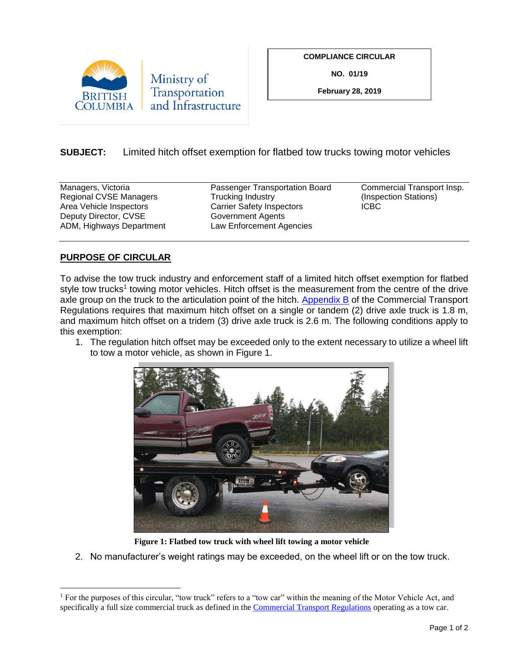

**COMPLIANCE CIRCULAR**

**NO. 01/19**

**February 28, 2019**

## **SUBJECT:** Limited hitch offset exemption for flatbed tow trucks towing motor vehicles

Area Vehicle Inspectors **Carrier Safety Inspectors** Deputy Director, CVSE Government Agents ADM, Highways Department Law Enforcement Agencies

Managers, Victoria **Passenger Transportation Board** Commercial Transport Insp.<br>Regional CVSE Managers **Pransis Trucking Industry** (Inspection Stations) Regional CVSE Managers Trucking Industry (Inspection Stational CVSE Managers Trucking Industry (Inspection Station Station Station Station Station Station Station Station Station Station Station Station Station Station Sta

## **PURPOSE OF CIRCULAR**

 $\overline{a}$ 

To advise the tow truck industry and enforcement staff of a limited hitch offset exemption for flatbed style tow trucks<sup>1</sup> towing motor vehicles. Hitch offset is the measurement from the centre of the drive axle group on the truck to the articulation point of the hitch. [Appendix B](http://www.bclaws.ca/civix/document/id/complete/statreg/30_78#AppendicesAtoK) of the Commercial Transport Regulations requires that maximum hitch offset on a single or tandem (2) drive axle truck is 1.8 m, and maximum hitch offset on a tridem (3) drive axle truck is 2.6 m. The following conditions apply to this exemption:

1. The regulation hitch offset may be exceeded only to the extent necessary to utilize a wheel lift to tow a motor vehicle, as shown in Figure 1.



**Figure 1: Flatbed tow truck with wheel lift towing a motor vehicle**

2. No manufacturer's weight ratings may be exceeded, on the wheel lift or on the tow truck.

<sup>&</sup>lt;sup>1</sup> For the purposes of this circular, "tow truck" refers to a "tow car" within the meaning of the Motor Vehicle Act, and specifically a full size commercial truck as defined in the [Commercial Transport Regulations](http://www.bclaws.ca/civix/document/id/complete/statreg/30_78) operating as a tow car.